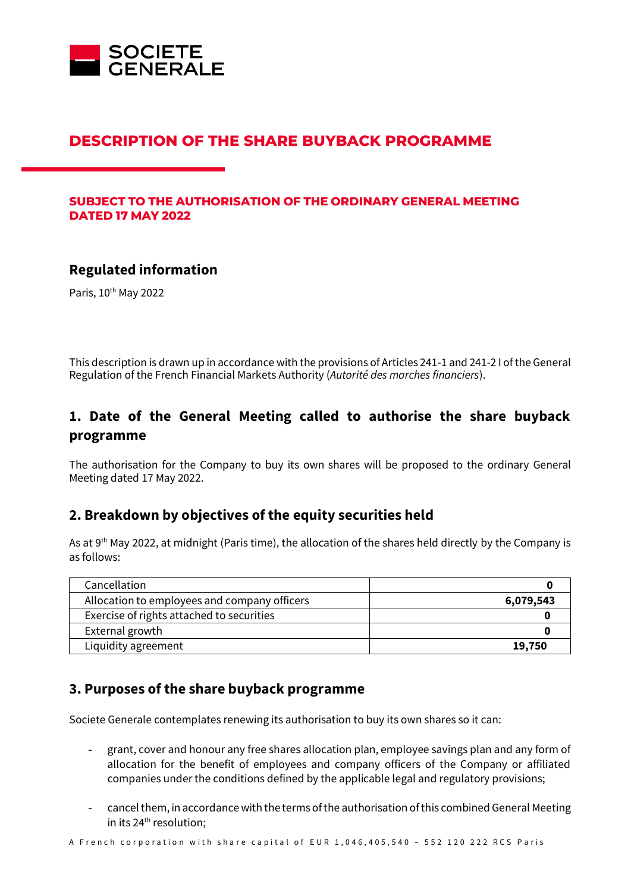

# **DESCRIPTION OF THE SHARE BUYBACK PROGRAMME**

#### **SUBJECT TO THE AUTHORISATION OF THE ORDINARY GENERAL MEETING DATED 17 MAY 2022**

#### **Regulated information**

Paris, 10<sup>th</sup> May 2022

This description is drawn up in accordance with the provisions of Articles 241-1 and 241-2 I of the General Regulation of the French Financial Markets Authority (*Autorité des marches financiers*).

# **1. Date of the General Meeting called to authorise the share buyback programme**

The authorisation for the Company to buy its own shares will be proposed to the ordinary General Meeting dated 17 May 2022.

## **2. Breakdown by objectives of the equity securities held**

As at 9<sup>th</sup> May 2022, at midnight (Paris time), the allocation of the shares held directly by the Company is as follows:

| Cancellation                                 |           |
|----------------------------------------------|-----------|
| Allocation to employees and company officers | 6,079,543 |
| Exercise of rights attached to securities    |           |
| External growth                              |           |
| Liquidity agreement                          | 19,750    |

#### **3. Purposes of the share buyback programme**

Societe Generale contemplates renewing its authorisation to buy its own shares so it can:

- grant, cover and honour any free shares allocation plan, employee savings plan and any form of allocation for the benefit of employees and company officers of the Company or affiliated companies under the conditions defined by the applicable legal and regulatory provisions;
- cancel them, in accordance with the terms of the authorisation of this combined General Meeting in its 24<sup>th</sup> resolution;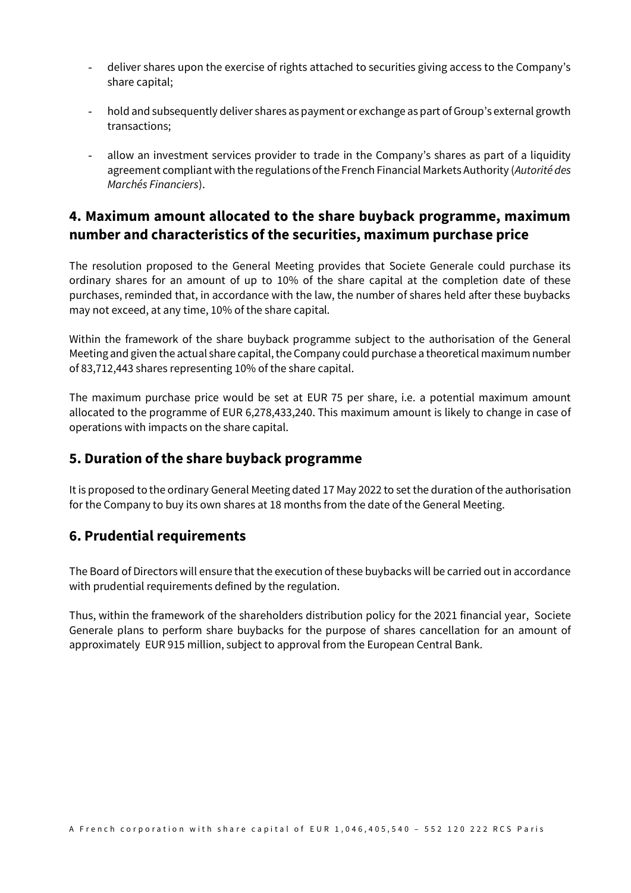- deliver shares upon the exercise of rights attached to securities giving access to the Company's share capital;
- hold and subsequently deliver shares as payment or exchange as part of Group's external growth transactions;
- allow an investment services provider to trade in the Company's shares as part of a liquidity agreement compliant with the regulations of the French Financial Markets Authority (*Autorité des Marchés Financiers*).

# **4. Maximum amount allocated to the share buyback programme, maximum number and characteristics of the securities, maximum purchase price**

The resolution proposed to the General Meeting provides that Societe Generale could purchase its ordinary shares for an amount of up to 10% of the share capital at the completion date of these purchases, reminded that, in accordance with the law, the number of shares held after these buybacks may not exceed, at any time, 10% of the share capital.

Within the framework of the share buyback programme subject to the authorisation of the General Meeting and given the actual share capital, the Company could purchase a theoretical maximum number of 83,712,443 shares representing 10% of the share capital.

The maximum purchase price would be set at EUR 75 per share, i.e. a potential maximum amount allocated to the programme of EUR 6,278,433,240. This maximum amount is likely to change in case of operations with impacts on the share capital.

## **5. Duration of the share buyback programme**

It is proposed to the ordinary General Meeting dated 17 May 2022 to set the duration of the authorisation for the Company to buy its own shares at 18 months from the date of the General Meeting.

## **6. Prudential requirements**

The Board of Directors will ensure that the execution of these buybacks will be carried out in accordance with prudential requirements defined by the regulation.

Thus, within the framework of the shareholders distribution policy for the 2021 financial year, Societe Generale plans to perform share buybacks for the purpose of shares cancellation for an amount of approximately EUR 915 million, subject to approval from the European Central Bank.